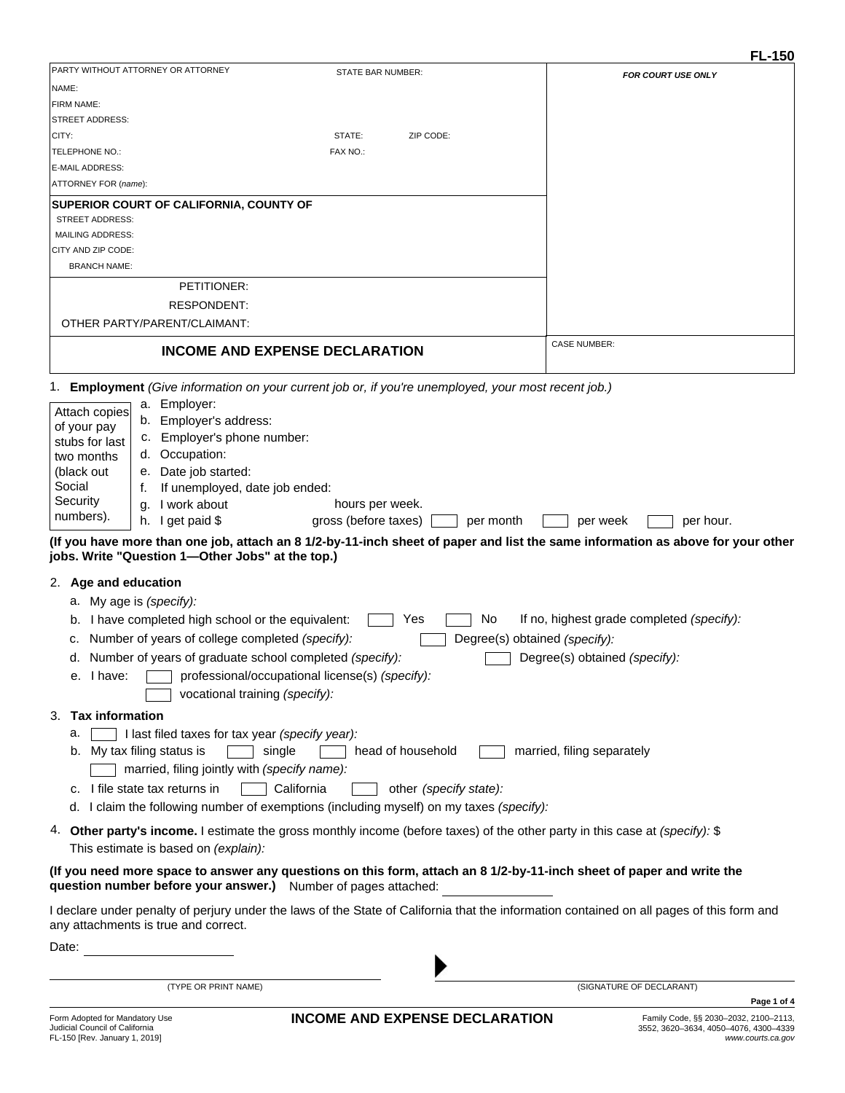|                                      |                                                                |                                                                                                                              | <b>FL-150</b>                                                                                                                                            |
|--------------------------------------|----------------------------------------------------------------|------------------------------------------------------------------------------------------------------------------------------|----------------------------------------------------------------------------------------------------------------------------------------------------------|
| PARTY WITHOUT ATTORNEY OR ATTORNEY   |                                                                | <b>STATE BAR NUMBER:</b>                                                                                                     | FOR COURT USE ONLY                                                                                                                                       |
| NAME:                                |                                                                |                                                                                                                              |                                                                                                                                                          |
| FIRM NAME:                           |                                                                |                                                                                                                              |                                                                                                                                                          |
| <b>STREET ADDRESS:</b><br>CITY:      |                                                                | STATE:<br>ZIP CODE:                                                                                                          |                                                                                                                                                          |
| TELEPHONE NO.:                       |                                                                | FAX NO.:                                                                                                                     |                                                                                                                                                          |
| <b>E-MAIL ADDRESS:</b>               |                                                                |                                                                                                                              |                                                                                                                                                          |
| ATTORNEY FOR (name):                 |                                                                |                                                                                                                              |                                                                                                                                                          |
|                                      | SUPERIOR COURT OF CALIFORNIA, COUNTY OF                        |                                                                                                                              |                                                                                                                                                          |
| <b>STREET ADDRESS:</b>               |                                                                |                                                                                                                              |                                                                                                                                                          |
| <b>MAILING ADDRESS:</b>              |                                                                |                                                                                                                              |                                                                                                                                                          |
| CITY AND ZIP CODE:                   |                                                                |                                                                                                                              |                                                                                                                                                          |
| <b>BRANCH NAME:</b>                  |                                                                |                                                                                                                              |                                                                                                                                                          |
|                                      | PETITIONER:                                                    |                                                                                                                              |                                                                                                                                                          |
|                                      | <b>RESPONDENT:</b>                                             |                                                                                                                              |                                                                                                                                                          |
| OTHER PARTY/PARENT/CLAIMANT:         |                                                                |                                                                                                                              |                                                                                                                                                          |
|                                      | <b>INCOME AND EXPENSE DECLARATION</b>                          |                                                                                                                              | <b>CASE NUMBER:</b>                                                                                                                                      |
| 1. .                                 |                                                                | <b>Employment</b> (Give information on your current job or, if you're unemployed, your most recent job.)                     |                                                                                                                                                          |
|                                      | a. Employer:                                                   |                                                                                                                              |                                                                                                                                                          |
| Attach copies                        | b. Employer's address:                                         |                                                                                                                              |                                                                                                                                                          |
| of your pay<br>stubs for last        | c. Employer's phone number:                                    |                                                                                                                              |                                                                                                                                                          |
| two months                           | d. Occupation:                                                 |                                                                                                                              |                                                                                                                                                          |
| (black out<br>е.                     | Date job started:                                              |                                                                                                                              |                                                                                                                                                          |
| Social<br>t.                         | If unemployed, date job ended:                                 |                                                                                                                              |                                                                                                                                                          |
| Security<br>g.<br>numbers).          | I work about                                                   | hours per week.                                                                                                              |                                                                                                                                                          |
|                                      | h. I get paid $$$                                              | gross (before taxes)<br>per month                                                                                            | per week<br>per hour.<br>(If you have more than one job, attach an 8 1/2-by-11-inch sheet of paper and list the same information as above for your other |
|                                      | jobs. Write "Question 1-Other Jobs" at the top.)               |                                                                                                                              |                                                                                                                                                          |
| 2. Age and education                 |                                                                |                                                                                                                              |                                                                                                                                                          |
| My age is (specify):<br>а.           |                                                                |                                                                                                                              |                                                                                                                                                          |
|                                      | b. I have completed high school or the equivalent:             | No<br>Yes                                                                                                                    | If no, highest grade completed (specify):                                                                                                                |
| c.                                   | Number of years of college completed (specify):                | Degree(s) obtained (specify):                                                                                                |                                                                                                                                                          |
|                                      | d. Number of years of graduate school completed (specify):     |                                                                                                                              | Degree(s) obtained (specify):                                                                                                                            |
| e. I have:                           | professional/occupational license(s) (specify):                |                                                                                                                              |                                                                                                                                                          |
|                                      | vocational training (specify):                                 |                                                                                                                              |                                                                                                                                                          |
|                                      |                                                                |                                                                                                                              |                                                                                                                                                          |
| <b>Tax information</b><br>3.         |                                                                |                                                                                                                              |                                                                                                                                                          |
| а.                                   | I last filed taxes for tax year (specify year):                |                                                                                                                              |                                                                                                                                                          |
| My tax filing status is<br>b.        | single                                                         | head of household                                                                                                            | married, filing separately                                                                                                                               |
|                                      | married, filing jointly with (specify name):                   |                                                                                                                              |                                                                                                                                                          |
| c. I file state tax returns in       | California                                                     | other (specify state):                                                                                                       |                                                                                                                                                          |
|                                      |                                                                | d. I claim the following number of exemptions (including myself) on my taxes (specify):                                      |                                                                                                                                                          |
|                                      | This estimate is based on (explain):                           | 4. Other party's income. I estimate the gross monthly income (before taxes) of the other party in this case at (specify): \$ |                                                                                                                                                          |
|                                      | question number before your answer.) Number of pages attached: | (If you need more space to answer any questions on this form, attach an 8 1/2-by-11-inch sheet of paper and write the        |                                                                                                                                                          |
| any attachments is true and correct. |                                                                |                                                                                                                              | I declare under penalty of perjury under the laws of the State of California that the information contained on all pages of this form and                |
| Date:                                |                                                                |                                                                                                                              |                                                                                                                                                          |
|                                      |                                                                |                                                                                                                              |                                                                                                                                                          |
|                                      |                                                                |                                                                                                                              |                                                                                                                                                          |
|                                      | (TYPE OR PRINT NAME)                                           |                                                                                                                              | (SIGNATURE OF DECLARANT)<br>Page 1 of 4                                                                                                                  |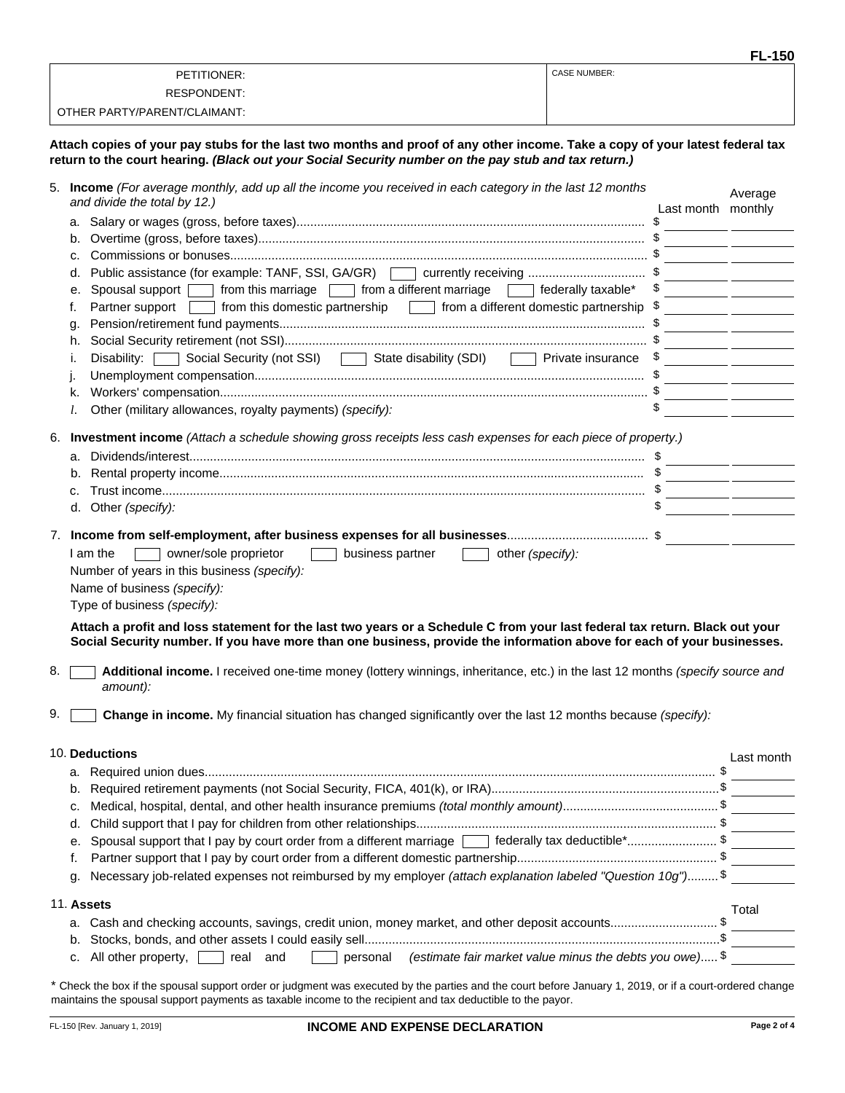|                              | <b>FL-150</b>       |
|------------------------------|---------------------|
| PETITIONER:                  | <b>CASE NUMBER:</b> |
| RESPONDENT:                  |                     |
| OTHER PARTY/PARENT/CLAIMANT: |                     |

**Attach copies of your pay stubs for the last two months and proof of any other income. Take a copy of your latest federal tax return to the court hearing.** *(Black out your Social Security number on the pay stub and tax return.)*

|    |    | 5. Income (For average monthly, add up all the income you received in each category in the last 12 months<br>and divide the total by 12.) | Last month monthly | Average                                                                                                                                                                   |
|----|----|-------------------------------------------------------------------------------------------------------------------------------------------|--------------------|---------------------------------------------------------------------------------------------------------------------------------------------------------------------------|
|    |    |                                                                                                                                           |                    |                                                                                                                                                                           |
|    | b. |                                                                                                                                           |                    | <u> 1989 - John Harry Barn, mars and de la partie de la partie de la partie de la partie de la partie de la partie</u>                                                    |
|    | c. |                                                                                                                                           |                    | <u> 1990 - Johann John Stone, markin samti samti samti samti samti samti samti samti samti samti samti samti sa</u>                                                       |
|    | d. | Public assistance (for example: TANF, SSI, GA/GR) currently receiving \$                                                                  |                    | <u> 1999 - Jan James James Barbara, president politik (</u>                                                                                                               |
|    | е. | Spousal support from this marriage from a different marriage determination is spousal support from this marriage                          |                    | <u> 1989 - John Harry Harry Harry Harry Harry Harry Harry Harry Harry Harry Harry Harry Harry Harry Harry Harry H</u>                                                     |
|    | f. | Partner support   from this domestic partnership   from a different domestic partnership                                                  |                    | the control of the control of the control of                                                                                                                              |
|    | g. |                                                                                                                                           |                    |                                                                                                                                                                           |
|    | h. |                                                                                                                                           |                    | <u> 1989 - John Stone, Amerikaans en Stone (</u><br><u> 1989 - John Harry Harry Harry Harry Harry Harry Harry Harry Harry Harry Harry Harry Harry Harry Harry Harry H</u> |
|    | i. | Disability: Social Security (not SSI) State disability (SDI) Private insurance                                                            |                    |                                                                                                                                                                           |
|    |    |                                                                                                                                           |                    |                                                                                                                                                                           |
|    | k. |                                                                                                                                           |                    |                                                                                                                                                                           |
|    | l. | Other (military allowances, royalty payments) (specify):                                                                                  | \$                 |                                                                                                                                                                           |
|    |    |                                                                                                                                           |                    |                                                                                                                                                                           |
|    |    | 6. Investment income (Attach a schedule showing gross receipts less cash expenses for each piece of property.)                            |                    |                                                                                                                                                                           |
|    |    |                                                                                                                                           |                    |                                                                                                                                                                           |
|    |    |                                                                                                                                           |                    |                                                                                                                                                                           |
|    | c. |                                                                                                                                           |                    |                                                                                                                                                                           |
|    |    | d. Other (specify):                                                                                                                       |                    |                                                                                                                                                                           |
|    |    |                                                                                                                                           |                    |                                                                                                                                                                           |
|    |    |                                                                                                                                           |                    |                                                                                                                                                                           |
|    |    | owner/sole proprietor<br>I am the<br>business partner<br>other (specify):                                                                 |                    |                                                                                                                                                                           |
|    |    | Number of years in this business (specify):                                                                                               |                    |                                                                                                                                                                           |
|    |    | Name of business (specify):                                                                                                               |                    |                                                                                                                                                                           |
|    |    | Type of business (specify):                                                                                                               |                    |                                                                                                                                                                           |
|    |    | Attach a profit and loss statement for the last two years or a Schedule C from your last federal tax return. Black out your               |                    |                                                                                                                                                                           |
|    |    | Social Security number. If you have more than one business, provide the information above for each of your businesses.                    |                    |                                                                                                                                                                           |
|    |    |                                                                                                                                           |                    |                                                                                                                                                                           |
| 8. |    | Additional income. I received one-time money (lottery winnings, inheritance, etc.) in the last 12 months (specify source and<br>amount):  |                    |                                                                                                                                                                           |
|    |    |                                                                                                                                           |                    |                                                                                                                                                                           |
| 9. |    | Change in income. My financial situation has changed significantly over the last 12 months because (specify):                             |                    |                                                                                                                                                                           |
|    |    |                                                                                                                                           |                    |                                                                                                                                                                           |
|    |    | 10. Deductions                                                                                                                            |                    | Last month                                                                                                                                                                |
|    |    |                                                                                                                                           |                    |                                                                                                                                                                           |
|    |    |                                                                                                                                           |                    |                                                                                                                                                                           |
|    | c. |                                                                                                                                           |                    |                                                                                                                                                                           |
|    | d. |                                                                                                                                           |                    |                                                                                                                                                                           |
|    | е. | Spousal support that I pay by court order from a different marriage [14] federally tax deductible*\$                                      |                    |                                                                                                                                                                           |
|    | f. |                                                                                                                                           |                    |                                                                                                                                                                           |
|    | g. | Necessary job-related expenses not reimbursed by my employer (attach explanation labeled "Question 10g")\$                                |                    |                                                                                                                                                                           |
|    |    |                                                                                                                                           |                    |                                                                                                                                                                           |
|    |    | 11. Assets                                                                                                                                |                    | Total                                                                                                                                                                     |
|    | а. | Cash and checking accounts, savings, credit union, money market, and other deposit accounts\$                                             |                    |                                                                                                                                                                           |
|    | b. |                                                                                                                                           |                    |                                                                                                                                                                           |
|    | c. | (estimate fair market value minus the debts you owe) $\$<br>All other property, $\Box$ real and<br>personal                               |                    |                                                                                                                                                                           |
|    |    |                                                                                                                                           |                    |                                                                                                                                                                           |
|    |    | or indemant was avecuted by the portion and the court before longer 1, 2010, or if a court and                                            |                    |                                                                                                                                                                           |

Check the box if the spousal support order or judgment was executed by the parties and the court before January 1, 2019, or if a court-ordered change maintains the spousal support payments as taxable income to the recipient and tax deductible to the payor.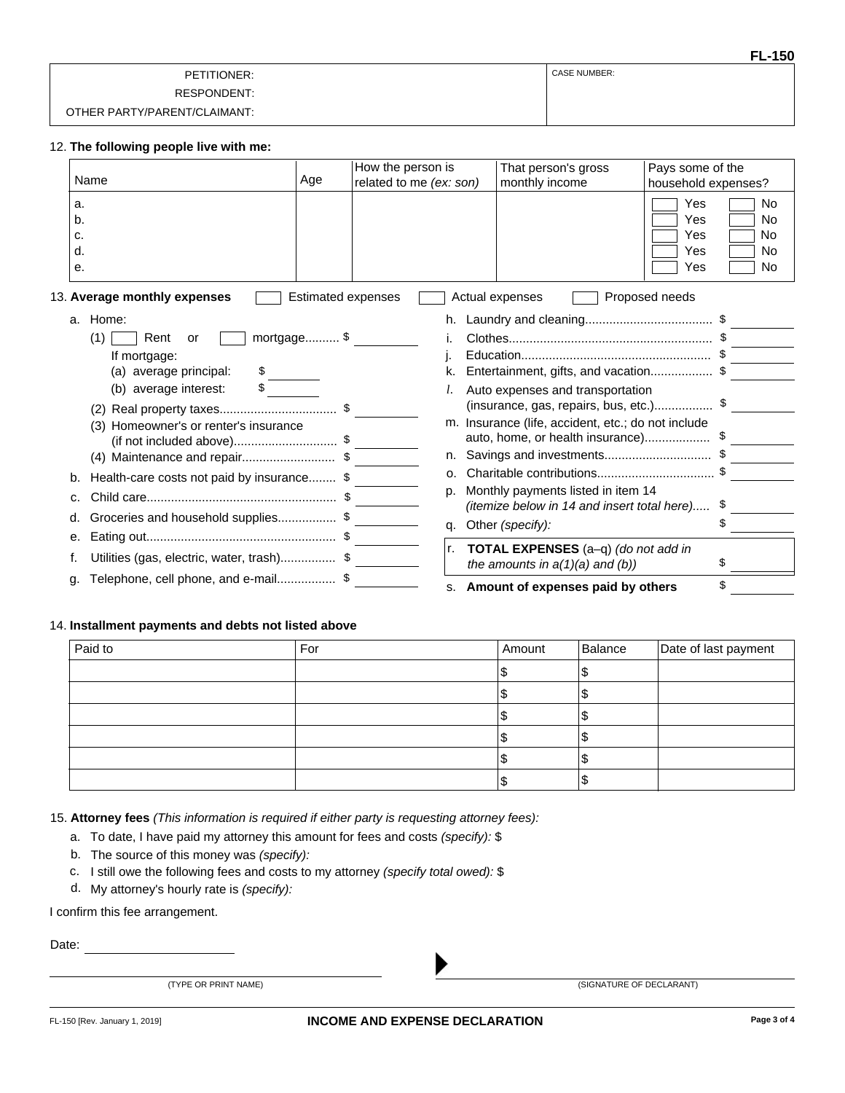|                              | <b>FL-150</b>       |
|------------------------------|---------------------|
| PETITIONER:                  | <b>CASE NUMBER:</b> |
| RESPONDENT:                  |                     |
| OTHER PARTY/PARENT/CLAIMANT: |                     |

#### **The following people live with me:** 12.

|                            | Name                                           | Age                       | How the person is<br>related to me (ex: son) | That person's gross<br>monthly income                                       | Pays some of the<br>household expenses? |                             |
|----------------------------|------------------------------------------------|---------------------------|----------------------------------------------|-----------------------------------------------------------------------------|-----------------------------------------|-----------------------------|
| a.<br>b.<br>c.<br>d.<br>е. |                                                |                           |                                              |                                                                             | Yes<br>Yes<br>Yes<br>Yes<br>Yes         | No<br>No<br>No<br>No<br>No. |
|                            | 13. Average monthly expenses                   | <b>Estimated expenses</b> |                                              | Actual expenses                                                             | Proposed needs                          |                             |
|                            | a. Home:                                       |                           |                                              |                                                                             |                                         |                             |
|                            | (1)<br>Rent<br>or                              | mortgage \$               |                                              |                                                                             |                                         |                             |
|                            | If mortgage:                                   |                           |                                              |                                                                             |                                         |                             |
|                            | (a) average principal:<br>$\frac{1}{\sqrt{2}}$ |                           |                                              | Entertainment, gifts, and vacation\$                                        |                                         |                             |
|                            | average interest:<br>(b)                       |                           |                                              | Auto expenses and transportation                                            |                                         |                             |
|                            |                                                |                           |                                              |                                                                             |                                         |                             |
|                            | (3) Homeowner's or renter's insurance          |                           | m.                                           | Insurance (life, accident, etc.; do not include                             |                                         |                             |
|                            | (if not included above)\$                      |                           | n.                                           | Savings and investments\$                                                   |                                         |                             |
|                            | (4) Maintenance and repair\$                   |                           | 0.                                           |                                                                             |                                         |                             |
| b.                         | Health-care costs not paid by insurance \$     |                           | D.                                           | Monthly payments listed in item 14                                          |                                         |                             |
| c.                         |                                                |                           |                                              | (itemize below in 14 and insert total here)                                 |                                         | \$                          |
| d.                         | Groceries and household supplies\$             |                           | q.                                           | Other (specify):                                                            |                                         | \$                          |
| е.                         |                                                |                           |                                              |                                                                             |                                         |                             |
|                            |                                                |                           | Ir.                                          | TOTAL EXPENSES (a-q) (do not add in<br>the amounts in $a(1)(a)$ and $(b)$ ) |                                         | S                           |
| q.                         | Telephone, cell phone, and e-mail\$            |                           |                                              | s. Amount of expenses paid by others                                        |                                         | \$                          |

### 14. **Installment payments and debts not listed above**

| Paid to | For | Amount | Balance | Date of last payment |
|---------|-----|--------|---------|----------------------|
|         |     |        |         |                      |
|         |     |        | Æ       |                      |
|         |     |        |         |                      |
|         |     |        |         |                      |
|         |     |        | ۱JD     |                      |
|         |     |        | Æ       |                      |

15. **Attorney fees** *(This information is required if either party is requesting attorney fees):*

- a. To date, I have paid my attorney this amount for fees and costs *(specify):* \$
- b. The source of this money was *(specify):*
- c. I still owe the following fees and costs to my attorney *(specify total owed):* \$
- d. My attorney's hourly rate is *(specify):*

I confirm this fee arrangement.

Date:

|  | (TYPE OR PRINT NAME) |  |
|--|----------------------|--|
|  |                      |  |

(SIGNATURE OF DECLARANT)